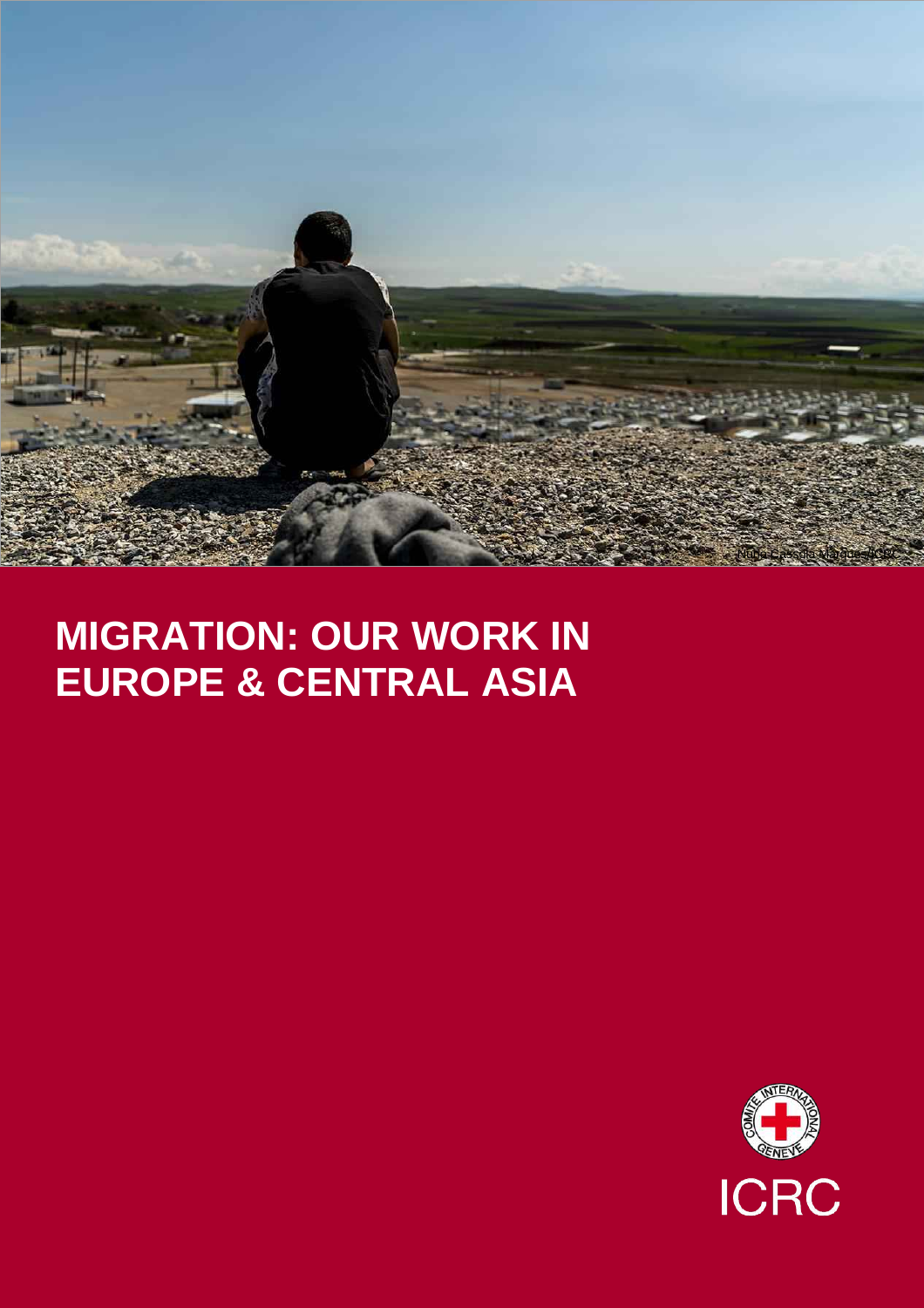

# **MIGRATION: OUR WORK IN EUROPE & CENTRAL ASIA**

**ICRC**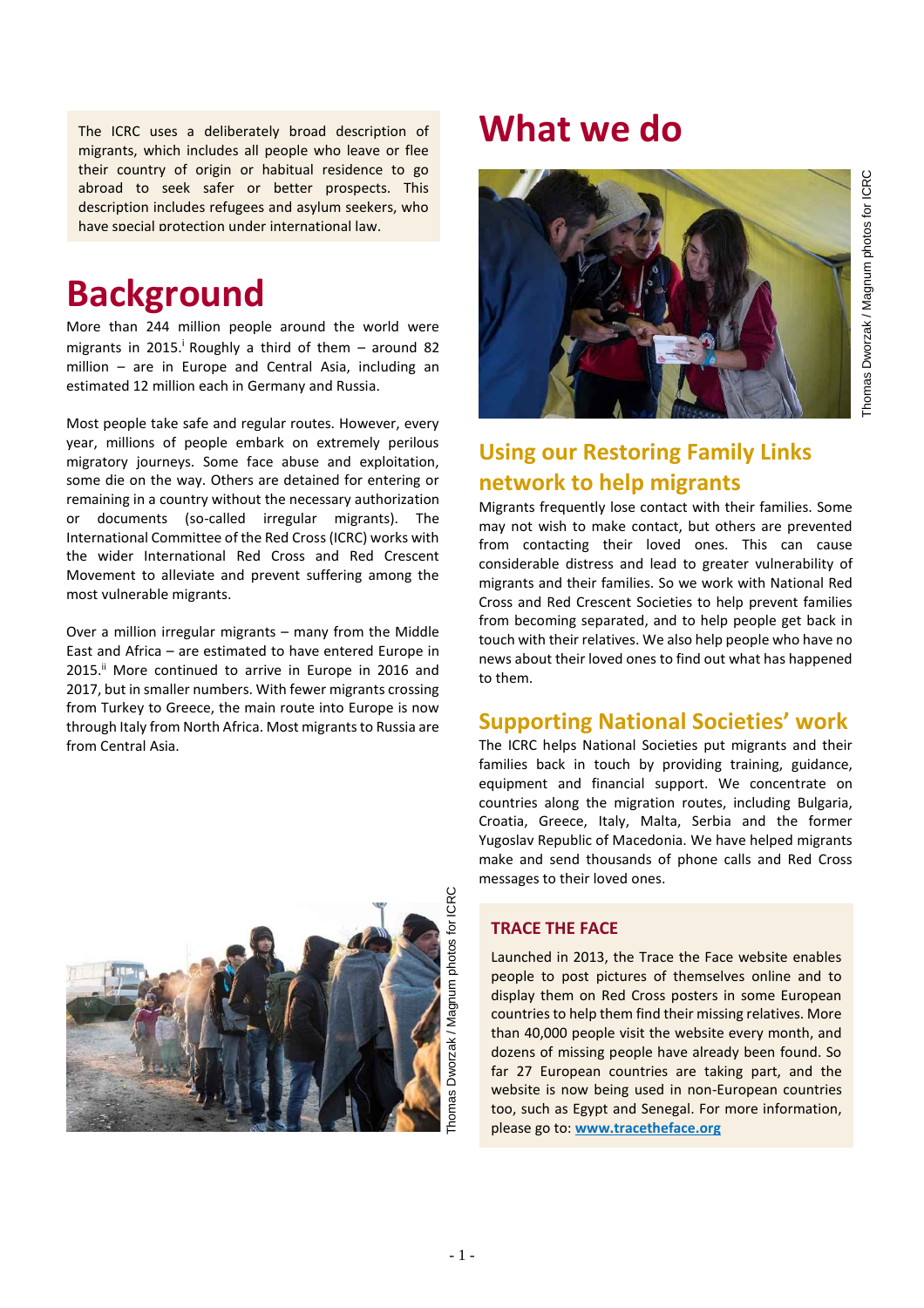The ICRC uses a deliberately broad description of **What we do** migrants, which includes all people who leave or flee their country of origin or habitual residence to go abroad to seek safer or better prospects. This description includes refugees and asylum seekers, who have special protection under international law.

## **Background**

More than 244 million people around the world were migrants in 2015.<sup>i</sup> Roughly a third of them  $-$  around 82 million – are in Europe and Central Asia, including an estimated 12 million each in Germany and Russia.

Most people take safe and regular routes. However, every year, millions of people embark on extremely perilous migratory journeys. Some face abuse and exploitation, some die on the way. Others are detained for entering or remaining in a country without the necessary authorization or documents (so-called irregular migrants). The International Committee of the Red Cross (ICRC) works with the wider International Red Cross and Red Crescent Movement to alleviate and prevent suffering among the most vulnerable migrants.

Over a million irregular migrants – many from the Middle East and Africa – are estimated to have entered Europe in 2015.<sup>ii</sup> More continued to arrive in Europe in 2016 and 2017, but in smaller numbers. With fewer migrants crossing from Turkey to Greece, the main route into Europe is now through Italy from North Africa. Most migrants to Russia are from Central Asia.





## **Using our Restoring Family Links network to help migrants**

Migrants frequently lose contact with their families. Some may not wish to make contact, but others are prevented from contacting their loved ones. This can cause considerable distress and lead to greater vulnerability of migrants and their families. So we work with National Red Cross and Red Crescent Societies to help prevent families from becoming separated, and to help people get back in touch with their relatives. We also help people who have no news about their loved ones to find out what has happened to them.

### **Supporting National Societies' work**

The ICRC helps National Societies put migrants and their families back in touch by providing training, guidance, equipment and financial support. We concentrate on countries along the migration routes, including Bulgaria, Croatia, Greece, Italy, Malta, Serbia and the former Yugoslav Republic of Macedonia. We have helped migrants make and send thousands of phone calls and Red Cross messages to their loved ones.

#### **TRACE THE FACE**

Launched in 2013, the Trace the Face website enables people to post pictures of themselves online and to display them on Red Cross posters in some European countries to help them find their missing relatives. More than 40,000 people visit the website every month, and dozens of missing people have already been found. So far 27 European countries are taking part, and the website is now being used in non-European countries too, such as Egypt and Senegal. For more information, please go to: **[www.tracetheface.org](file:///C:/Users/A051310/AppData/Roaming/Microsoft/Word/www.tracetheface.org)**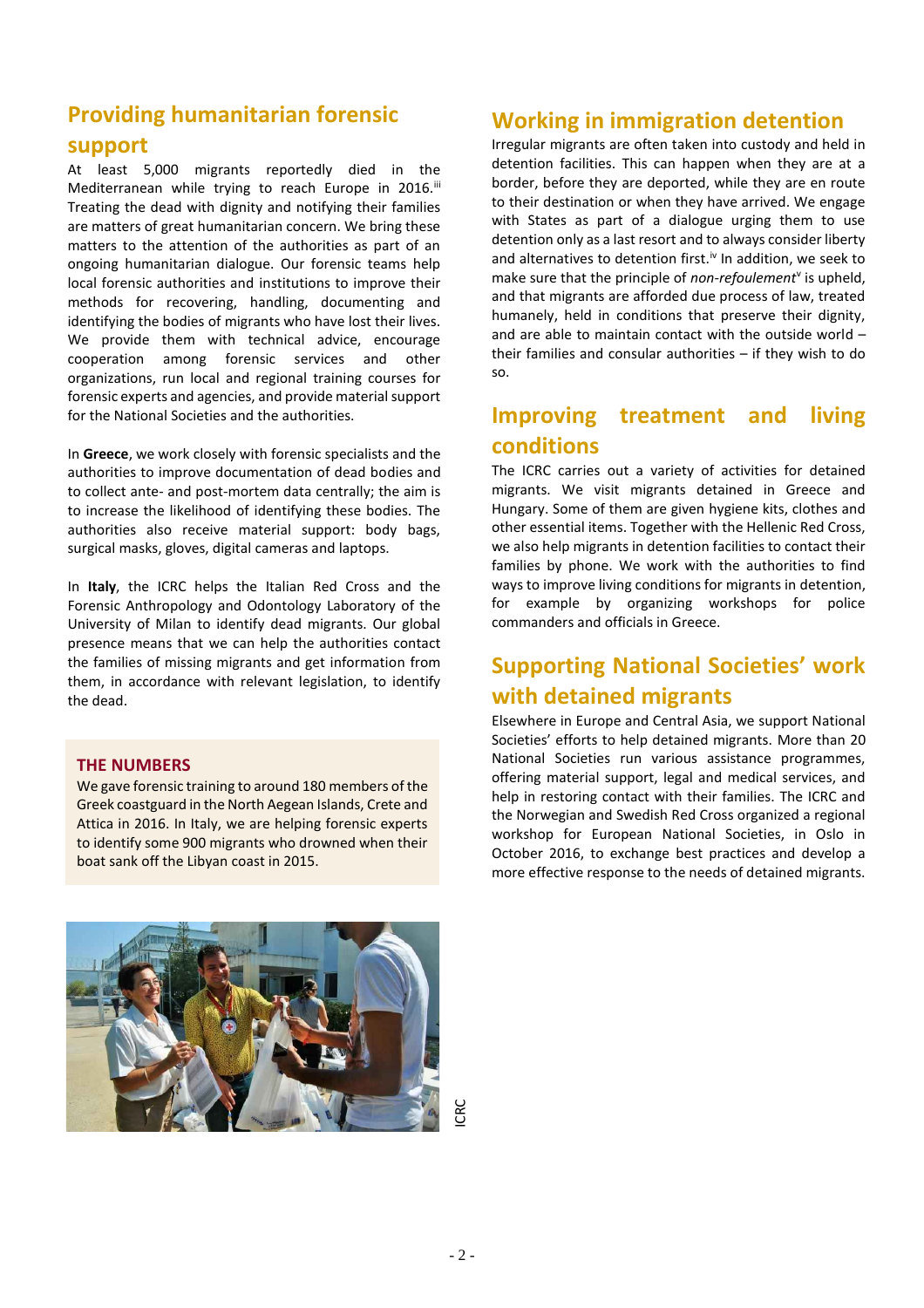### **Providing humanitarian forensic**

### **support**

At least 5,000 migrants reportedly died in the Mediterranean while trying to reach Europe in 2016.<sup>iii</sup> Treating the dead with dignity and notifying their families are matters of great humanitarian concern. We bring these matters to the attention of the authorities as part of an ongoing humanitarian dialogue. Our forensic teams help local forensic authorities and institutions to improve their methods for recovering, handling, documenting and identifying the bodies of migrants who have lost their lives. We provide them with technical advice, encourage cooperation among forensic services and other organizations, run local and regional training courses for forensic experts and agencies, and provide material support for the National Societies and the authorities.

In **Greece**, we work closely with forensic specialists and the authorities to improve documentation of dead bodies and to collect ante- and post-mortem data centrally; the aim is to increase the likelihood of identifying these bodies. The authorities also receive material support: body bags, surgical masks, gloves, digital cameras and laptops.

In **Italy**, the ICRC helps the Italian Red Cross and the Forensic Anthropology and Odontology Laboratory of the University of Milan to identify dead migrants. Our global presence means that we can help the authorities contact the families of missing migrants and get information from them, in accordance with relevant legislation, to identify the dead.

#### **THE NUMBERS**

We gave forensic training to around 180 members of the Greek coastguard in the North Aegean Islands, Crete and Attica in 2016. In Italy, we are helping forensic experts to identify some 900 migrants who drowned when their boat sank off the Libyan coast in 2015.

### **Working in immigration detention**

Irregular migrants are often taken into custody and held in detention facilities. This can happen when they are at a border, before they are deported, while they are en route to their destination or when they have arrived. We engage with States as part of a dialogue urging them to use detention only as a last resort and to always consider liberty and alternatives to detention first.<sup> $iv$ </sup> In addition, we seek to make sure that the principle of *non-refoulement*<sup>v</sup> is upheld, and that migrants are afforded due process of law, treated humanely, held in conditions that preserve their dignity, and are able to maintain contact with the outside world – their families and consular authorities – if they wish to do so.

### **Improving treatment and living conditions**

The ICRC carries out a variety of activities for detained migrants. We visit migrants detained in Greece and Hungary. Some of them are given hygiene kits, clothes and other essential items. Together with the Hellenic Red Cross, we also help migrants in detention facilities to contact their families by phone. We work with the authorities to find ways to improve living conditions for migrants in detention, for example by organizing workshops for police commanders and officials in Greece.

### **Supporting National Societies' work with detained migrants**

Elsewhere in Europe and Central Asia, we support National Societies' efforts to help detained migrants. More than 20 National Societies run various assistance programmes, offering material support, legal and medical services, and help in restoring contact with their families. The ICRC and the Norwegian and Swedish Red Cross organized a regional workshop for European National Societies, in Oslo in October 2016, to exchange best practices and develop a more effective response to the needs of detained migrants.



ICRC